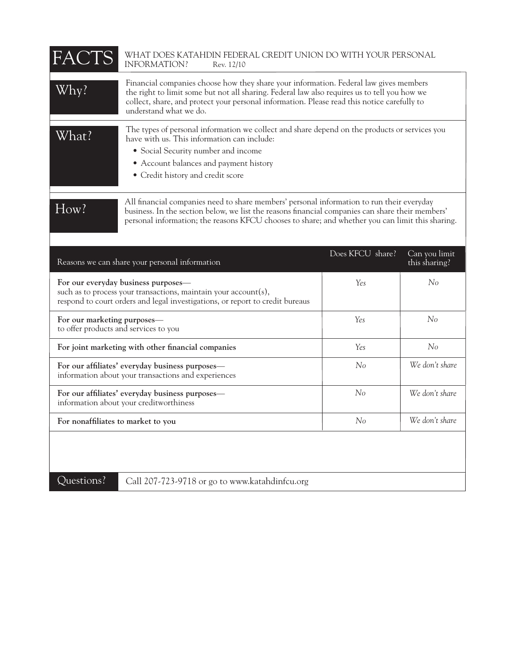| FACTS                                                                                                                                                                                                                                                                                                     | WHAT DOES KATAHDIN FEDERAL CREDIT UNION DO WITH YOUR PERSONAL<br>INFORMATION?<br>Rev. 12/10                                                                                                                                                                                                                    |                  |                                |
|-----------------------------------------------------------------------------------------------------------------------------------------------------------------------------------------------------------------------------------------------------------------------------------------------------------|----------------------------------------------------------------------------------------------------------------------------------------------------------------------------------------------------------------------------------------------------------------------------------------------------------------|------------------|--------------------------------|
| Why?                                                                                                                                                                                                                                                                                                      | Financial companies choose how they share your information. Federal law gives members<br>the right to limit some but not all sharing. Federal law also requires us to tell you how we<br>collect, share, and protect your personal information. Please read this notice carefully to<br>understand what we do. |                  |                                |
| What?                                                                                                                                                                                                                                                                                                     | The types of personal information we collect and share depend on the products or services you<br>have with us. This information can include:<br>• Social Security number and income<br>• Account balances and payment history<br>• Credit history and credit score                                             |                  |                                |
| All financial companies need to share members' personal information to run their everyday<br>How?<br>business. In the section below, we list the reasons financial companies can share their members'<br>personal information; the reasons KFCU chooses to share; and whether you can limit this sharing. |                                                                                                                                                                                                                                                                                                                |                  |                                |
|                                                                                                                                                                                                                                                                                                           | Reasons we can share your personal information                                                                                                                                                                                                                                                                 | Does KFCU share? | Can you limit<br>this sharing? |
| For our everyday business purposes-<br>such as to process your transactions, maintain your account(s),<br>respond to court orders and legal investigations, or report to credit bureaus                                                                                                                   |                                                                                                                                                                                                                                                                                                                | Yes              | No                             |
| For our marketing purposes-<br>to offer products and services to you                                                                                                                                                                                                                                      |                                                                                                                                                                                                                                                                                                                | Yes              | No                             |
| For joint marketing with other financial companies                                                                                                                                                                                                                                                        |                                                                                                                                                                                                                                                                                                                | Yes              | No                             |
| For our affiliates' everyday business purposes-<br>information about your transactions and experiences                                                                                                                                                                                                    |                                                                                                                                                                                                                                                                                                                | No               | We don't share                 |
| For our affiliates' everyday business purposes-<br>information about your creditworthiness                                                                                                                                                                                                                |                                                                                                                                                                                                                                                                                                                | No               | We don't share                 |
| For nonaffiliates to market to you                                                                                                                                                                                                                                                                        |                                                                                                                                                                                                                                                                                                                | No               | We don't share                 |
| Questions?                                                                                                                                                                                                                                                                                                | Call 207-723-9718 or go to www.katahdinfcu.org                                                                                                                                                                                                                                                                 |                  |                                |